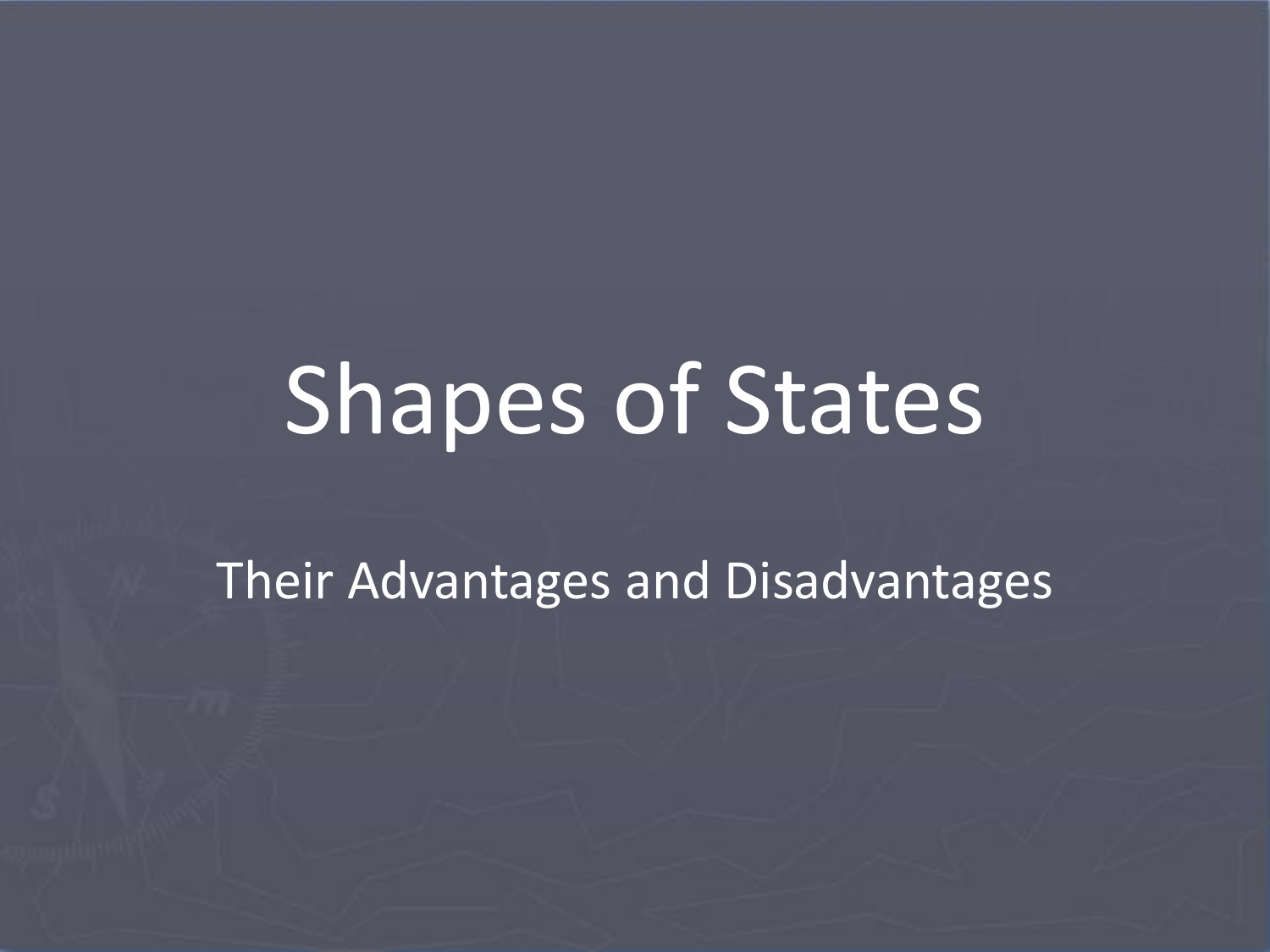# Shapes of States

Their Advantages and Disadvantages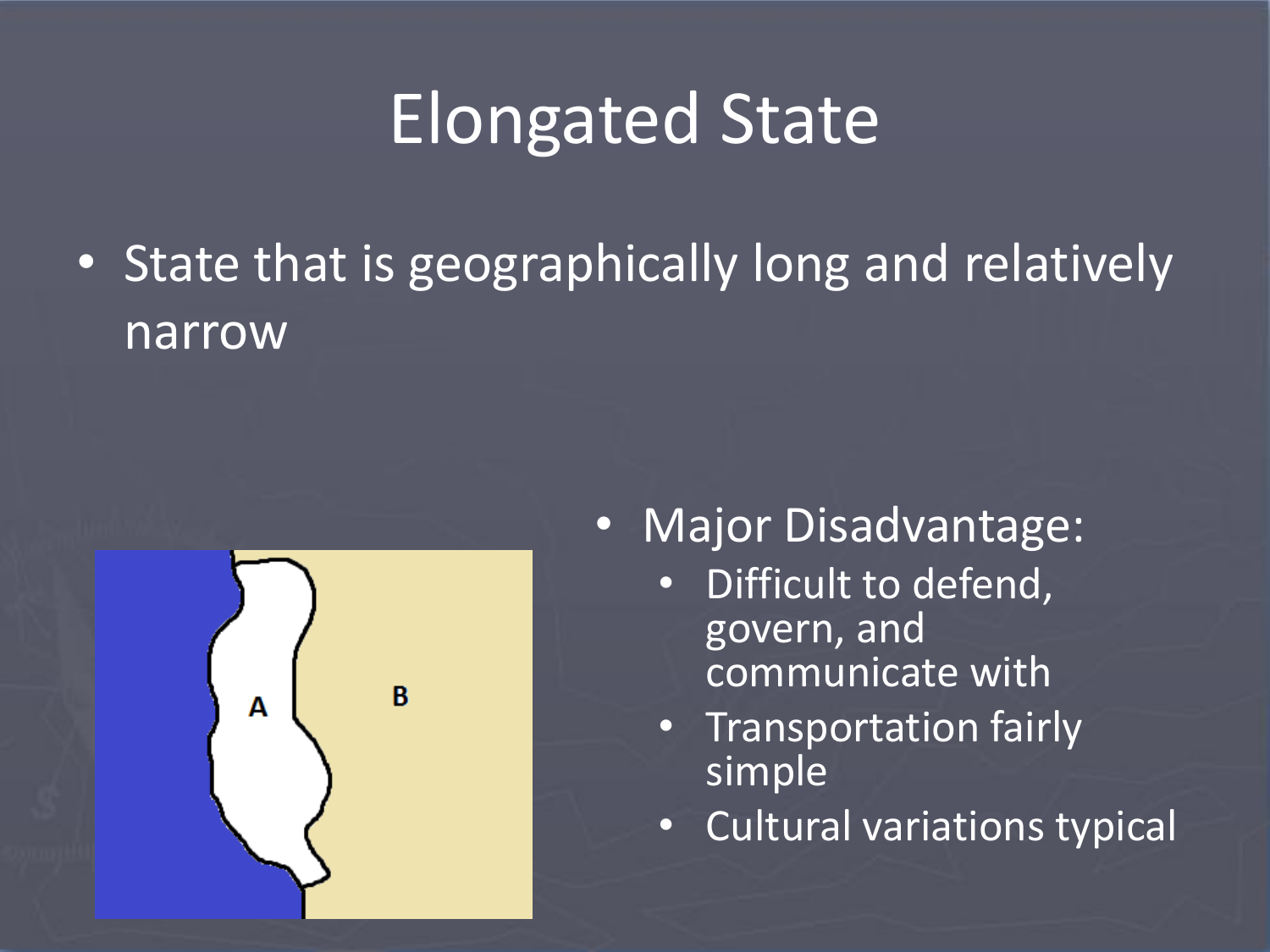# Elongated State

• State that is geographically long and relatively narrow



#### • Major Disadvantage:

- Difficult to defend, govern, and communicate with
- Transportation fairly simple
- Cultural variations typical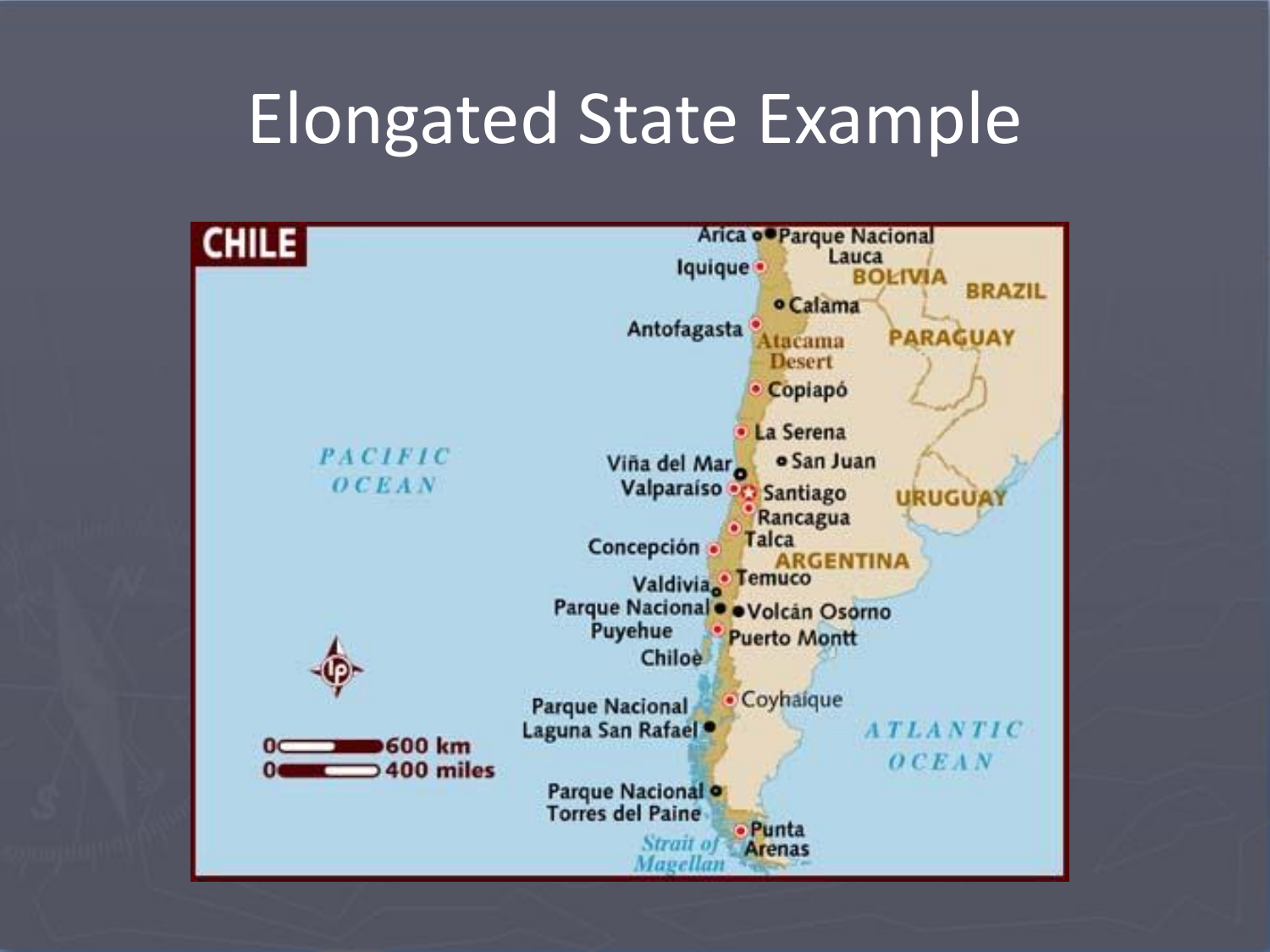# Elongated State Example

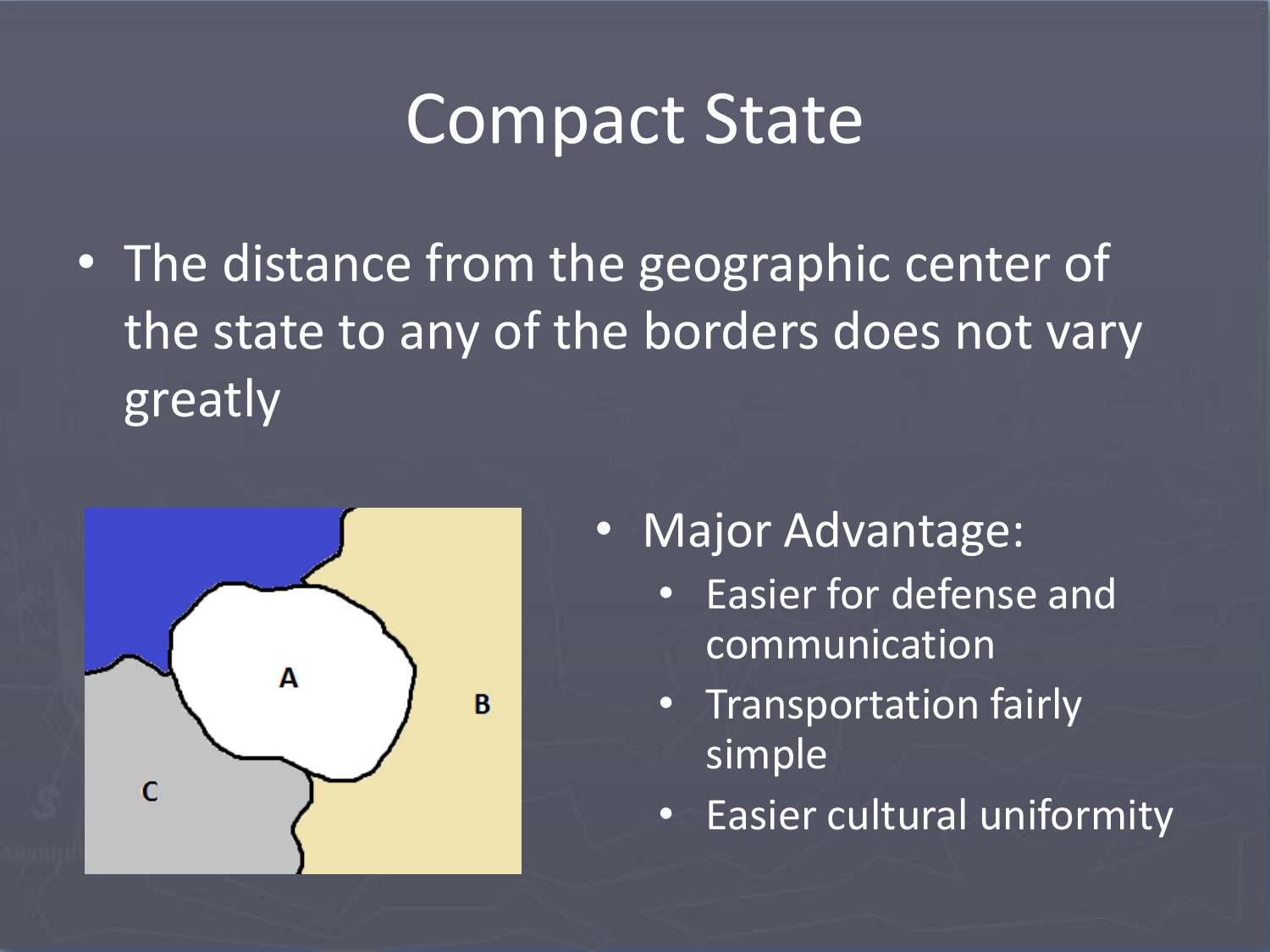# Compact State

• The distance from the geographic center of the state to any of the borders does not vary greatly



- Major Advantage:
	- Easier for defense and communication
	- Transportation fairly simple
	- Easier cultural uniformity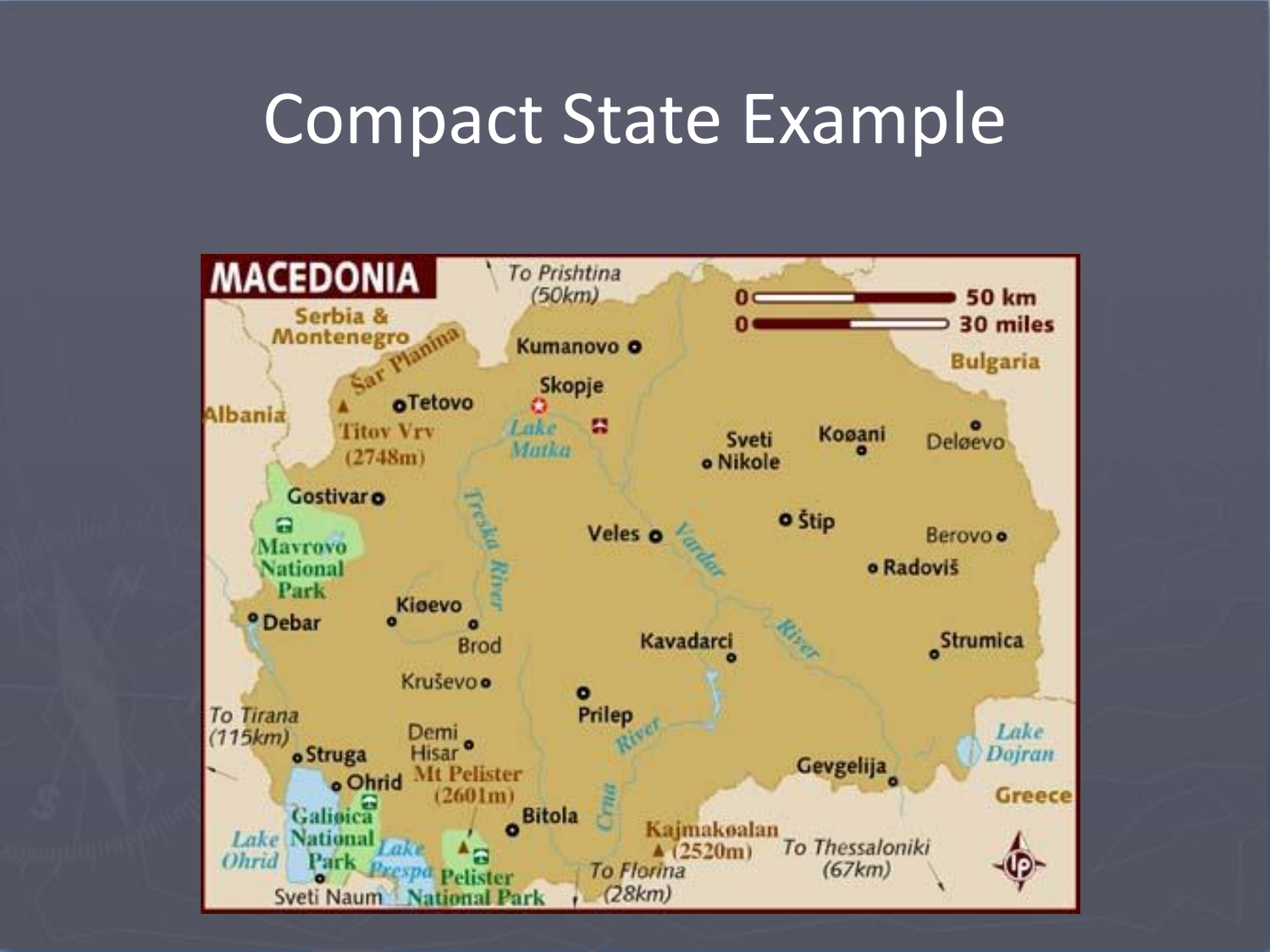#### Compact State Example

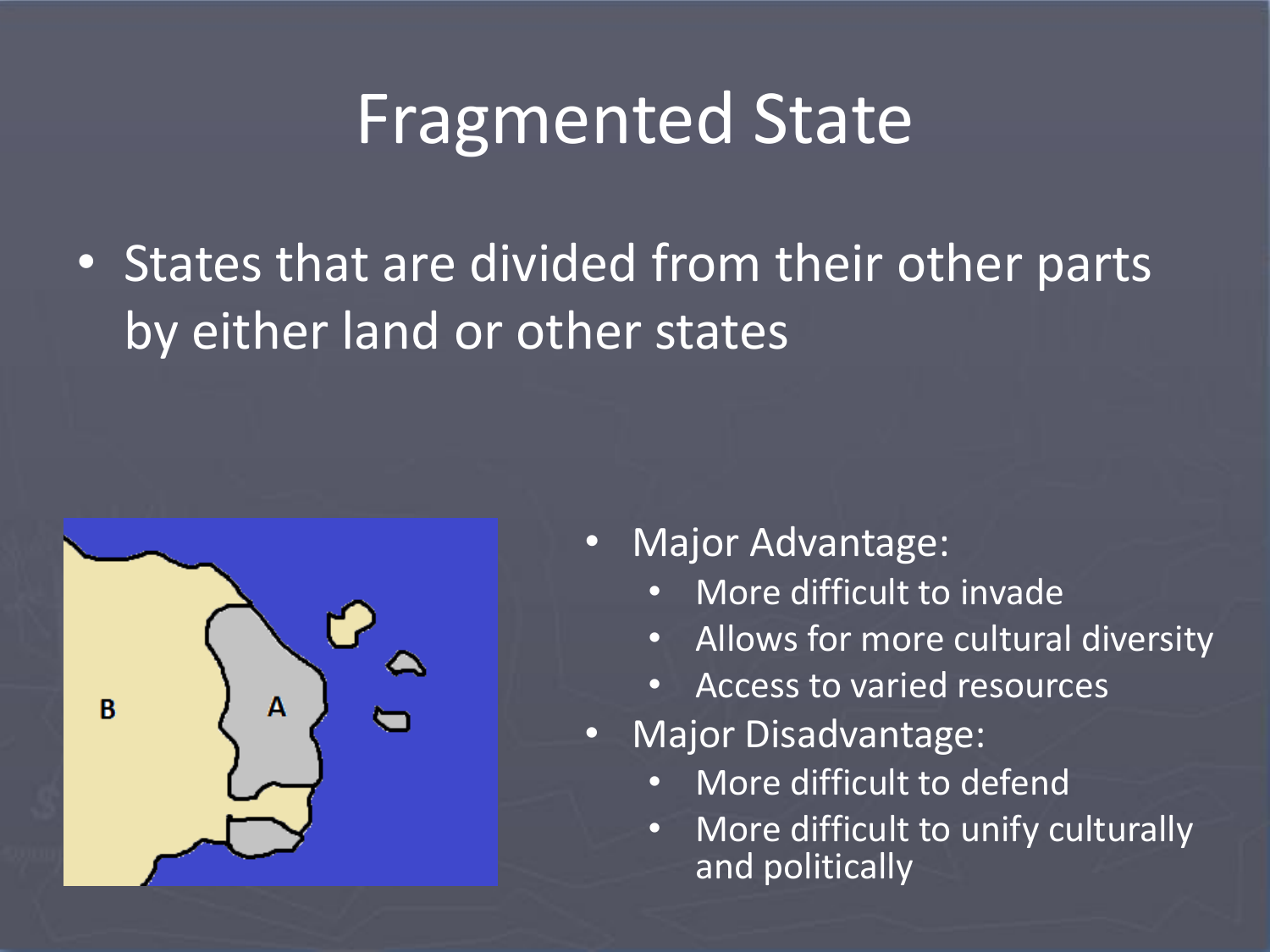# Fragmented State

• States that are divided from their other parts by either land or other states



- Major Advantage:
	- More difficult to invade
	- Allows for more cultural diversity
	- Access to varied resources
- Major Disadvantage:
	- More difficult to defend
	- More difficult to unify culturally and politically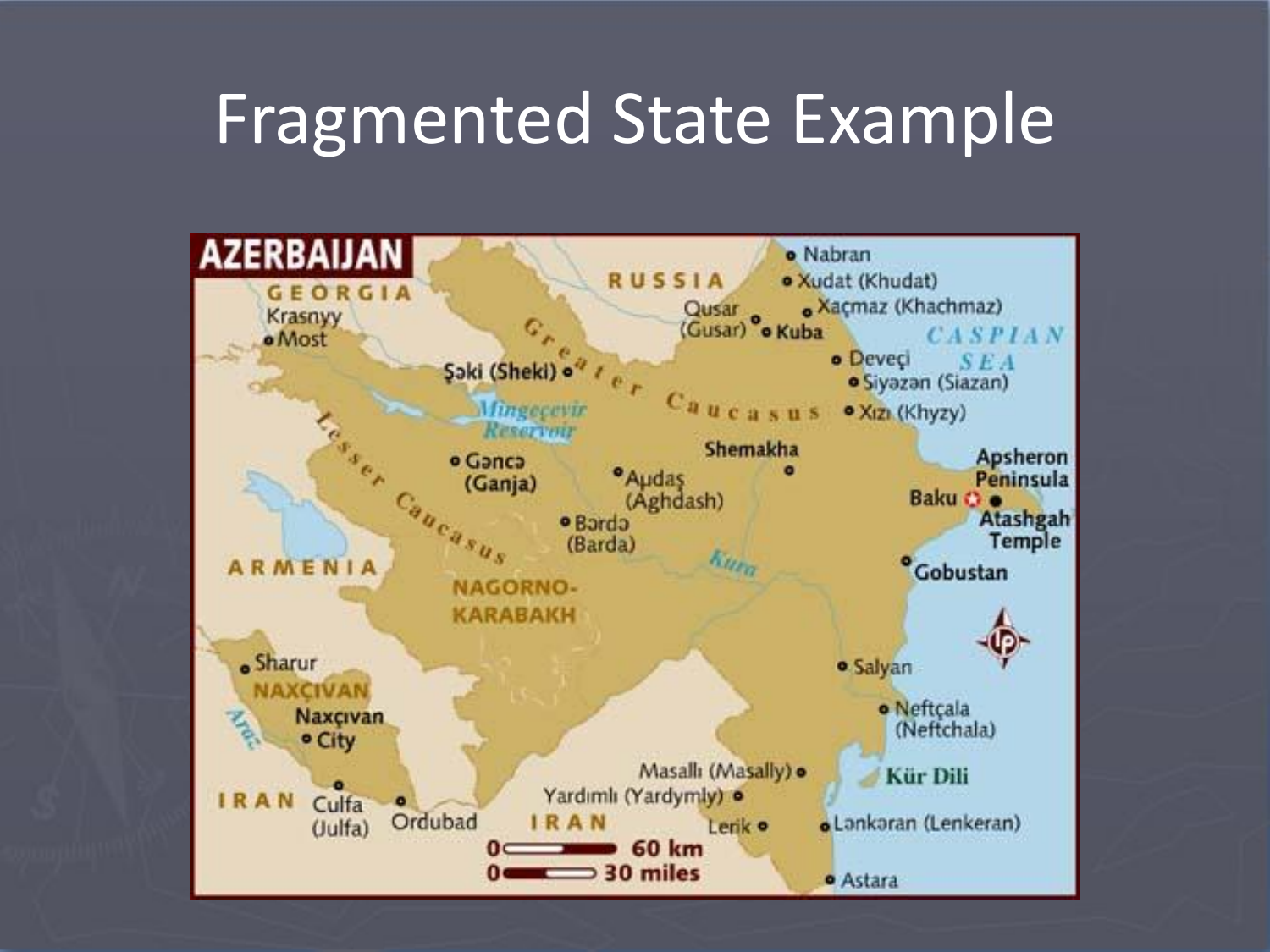# Fragmented State Example

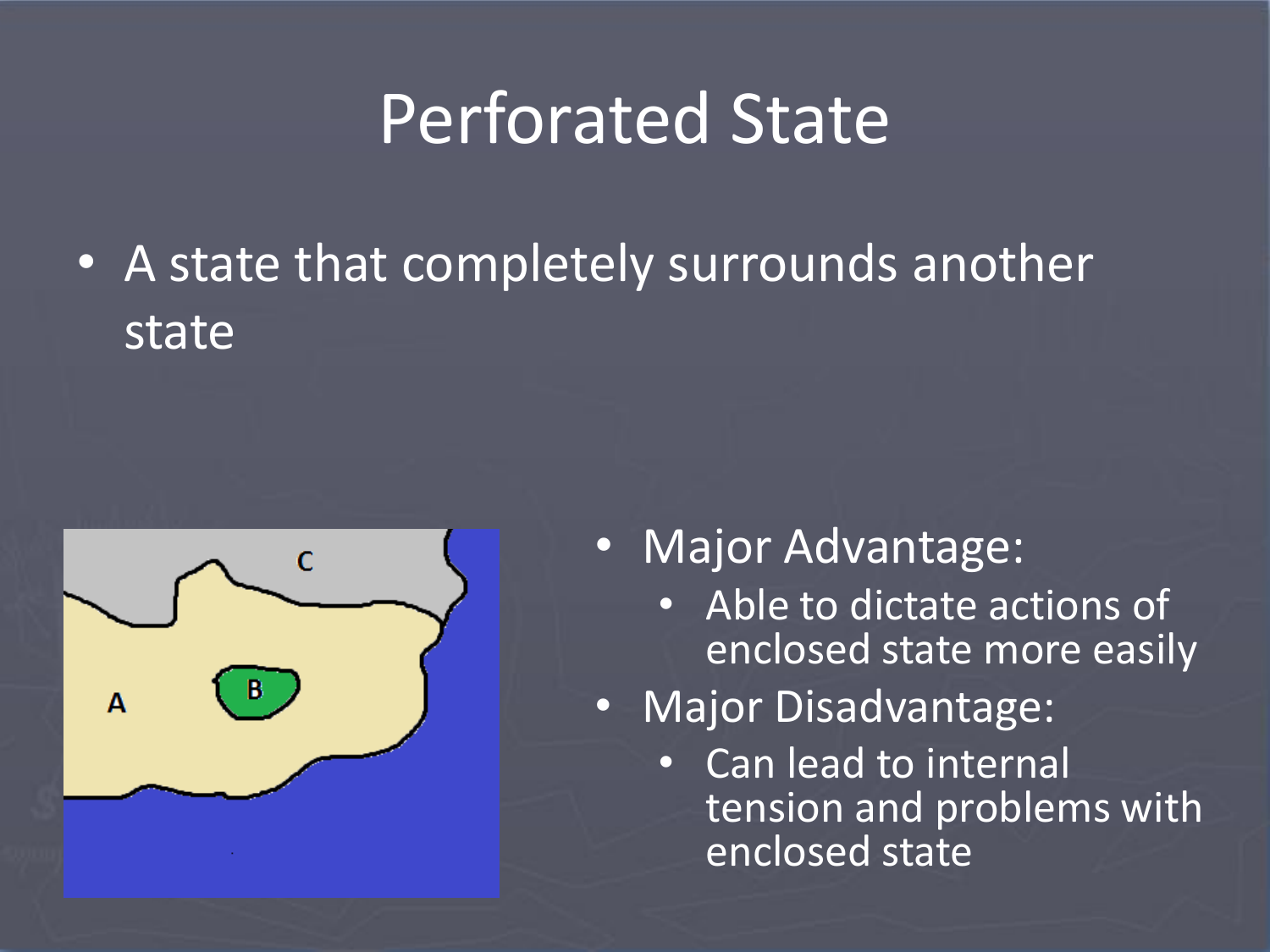# Perforated State

• A state that completely surrounds another state



- Major Advantage:
	- Able to dictate actions of enclosed state more easily
- Major Disadvantage:
	- Can lead to internal tension and problems with enclosed state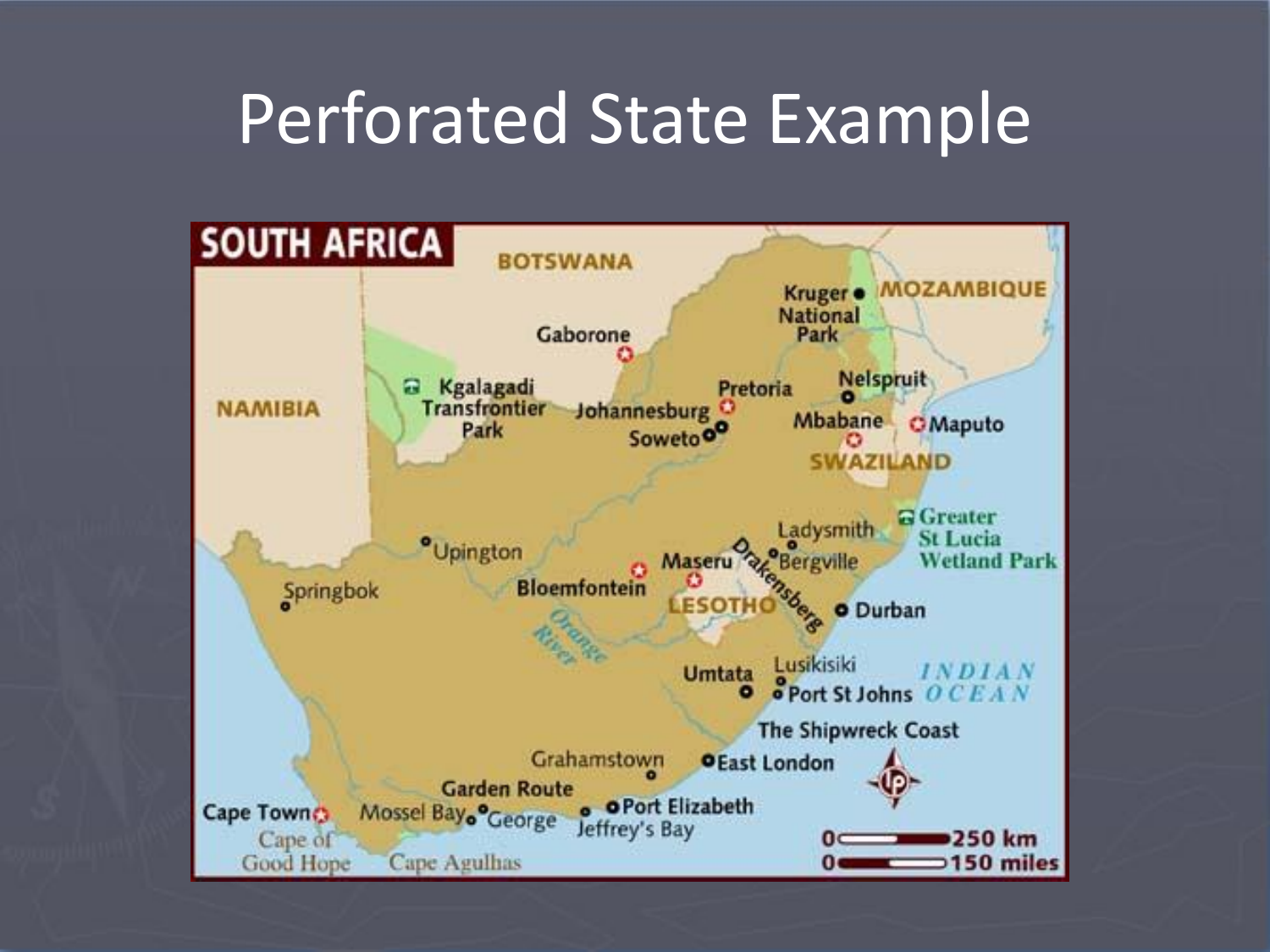# Perforated State Example

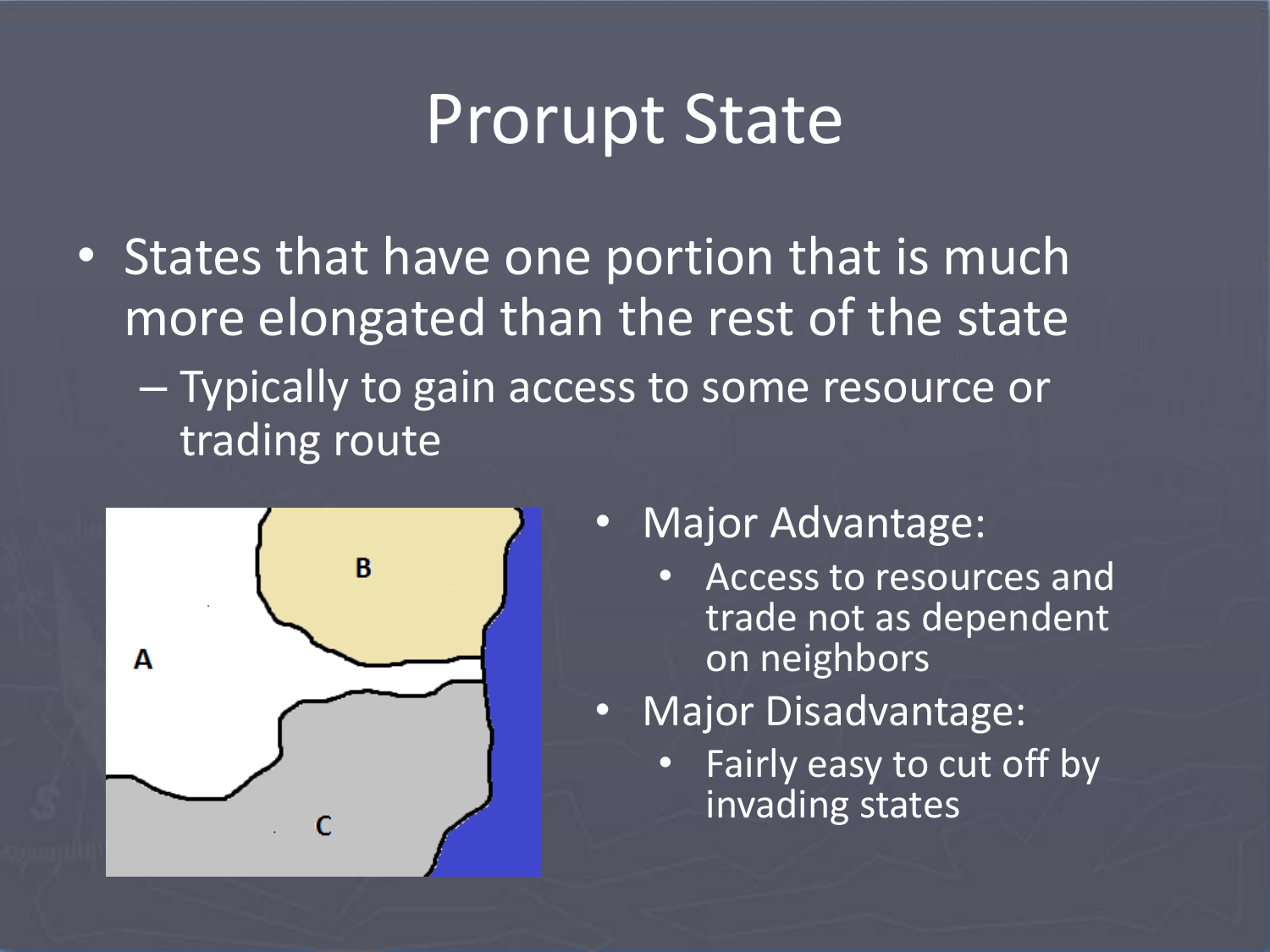# Prorupt State

• States that have one portion that is much more elongated than the rest of the state – Typically to gain access to some resource or trading route



- Major Advantage:
	- Access to resources and trade not as dependent on neighbors
- Major Disadvantage:
	- Fairly easy to cut off by invading states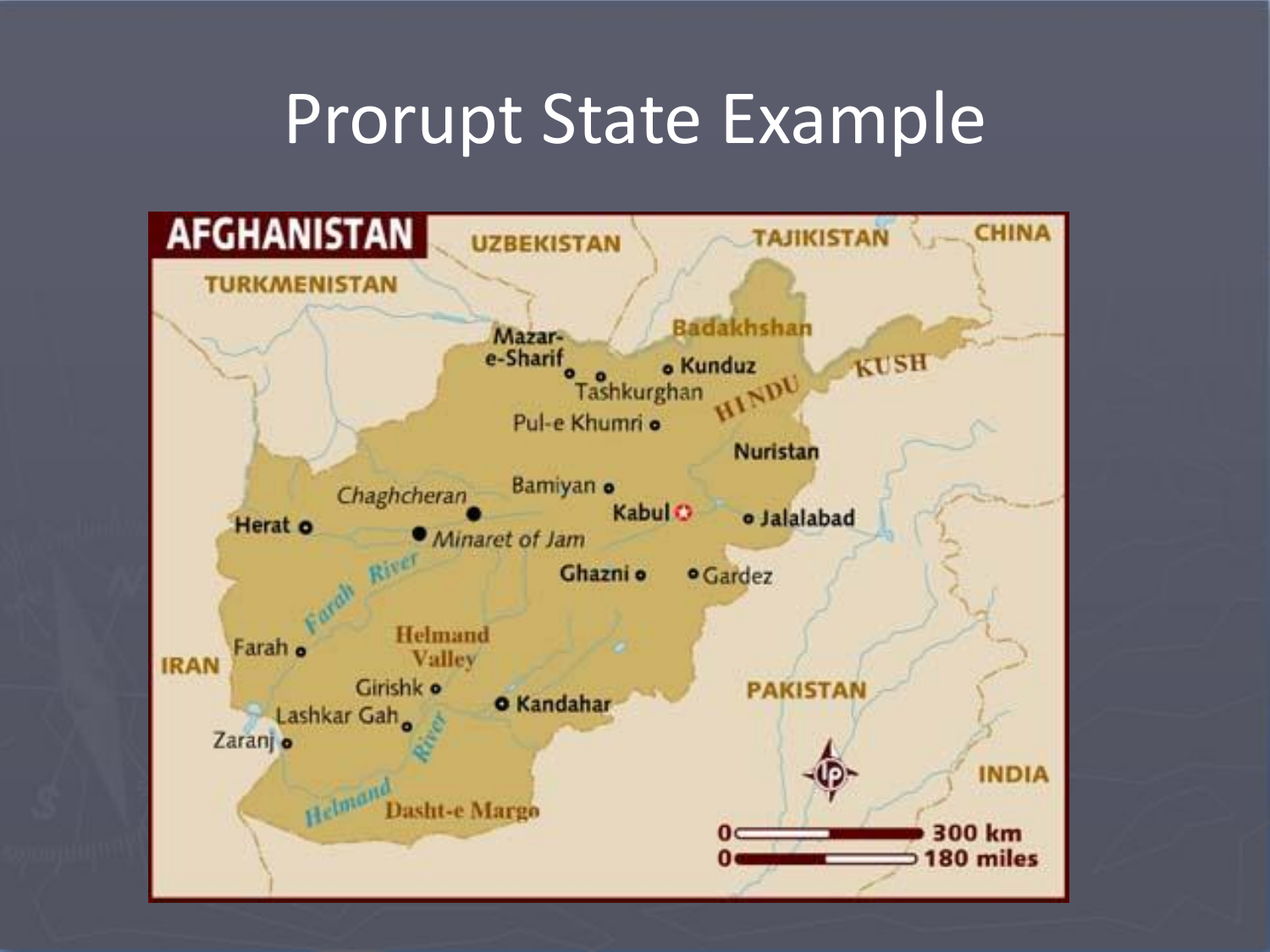#### Prorupt State Example

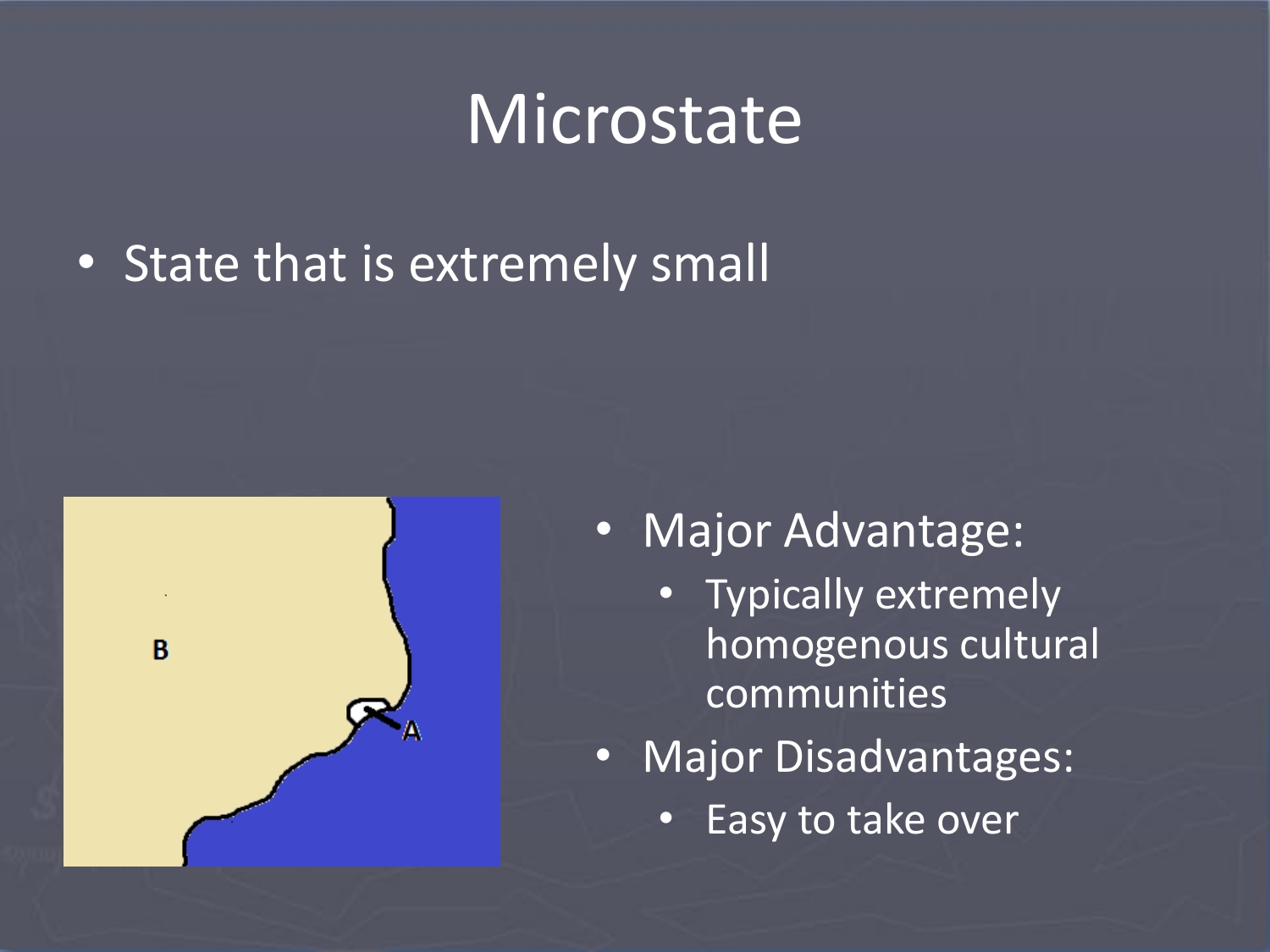#### **Microstate**

• State that is extremely small



- Major Advantage:
	- Typically extremely homogenous cultural communities
- Major Disadvantages:
	- Easy to take over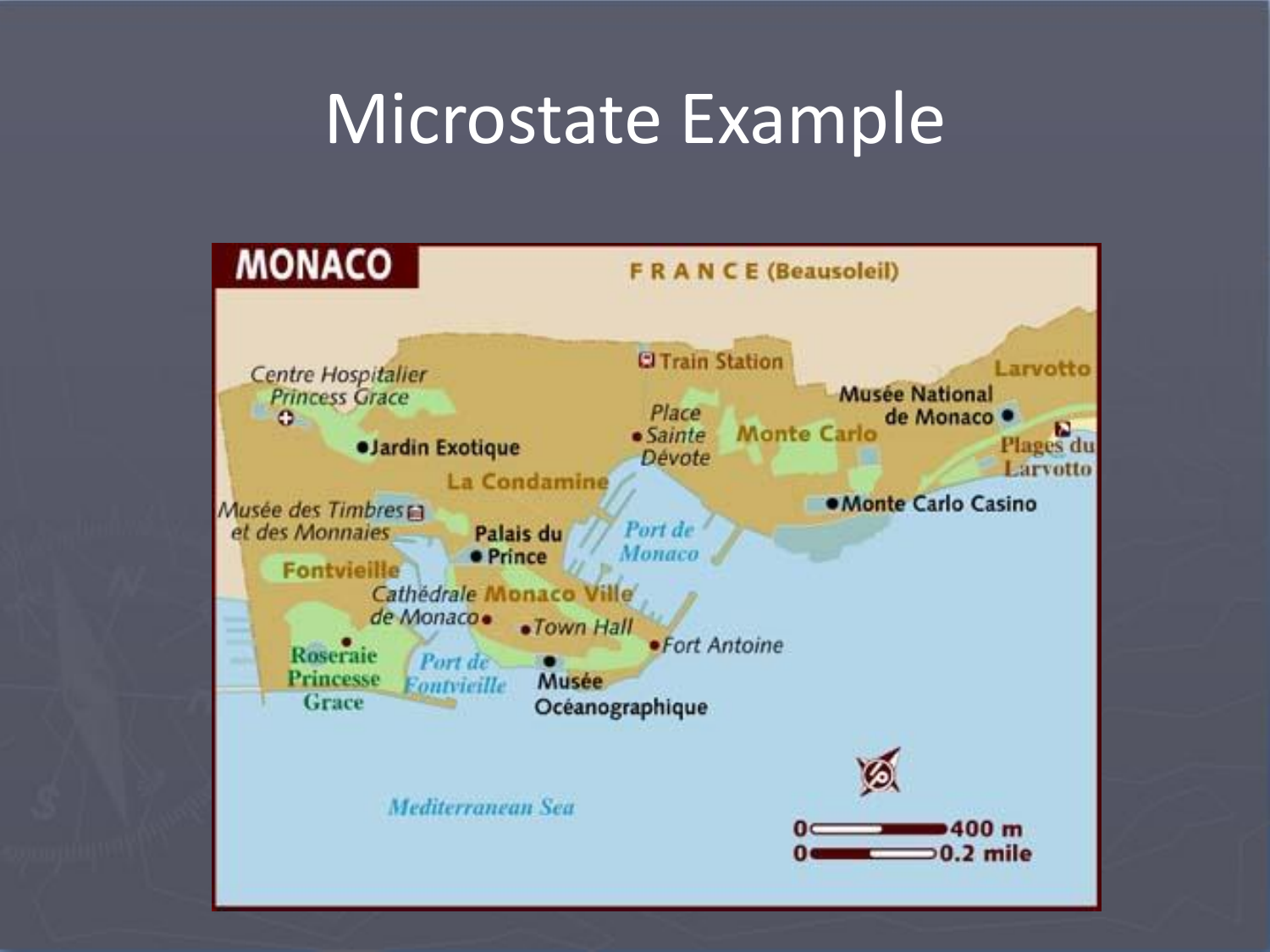# Microstate Example

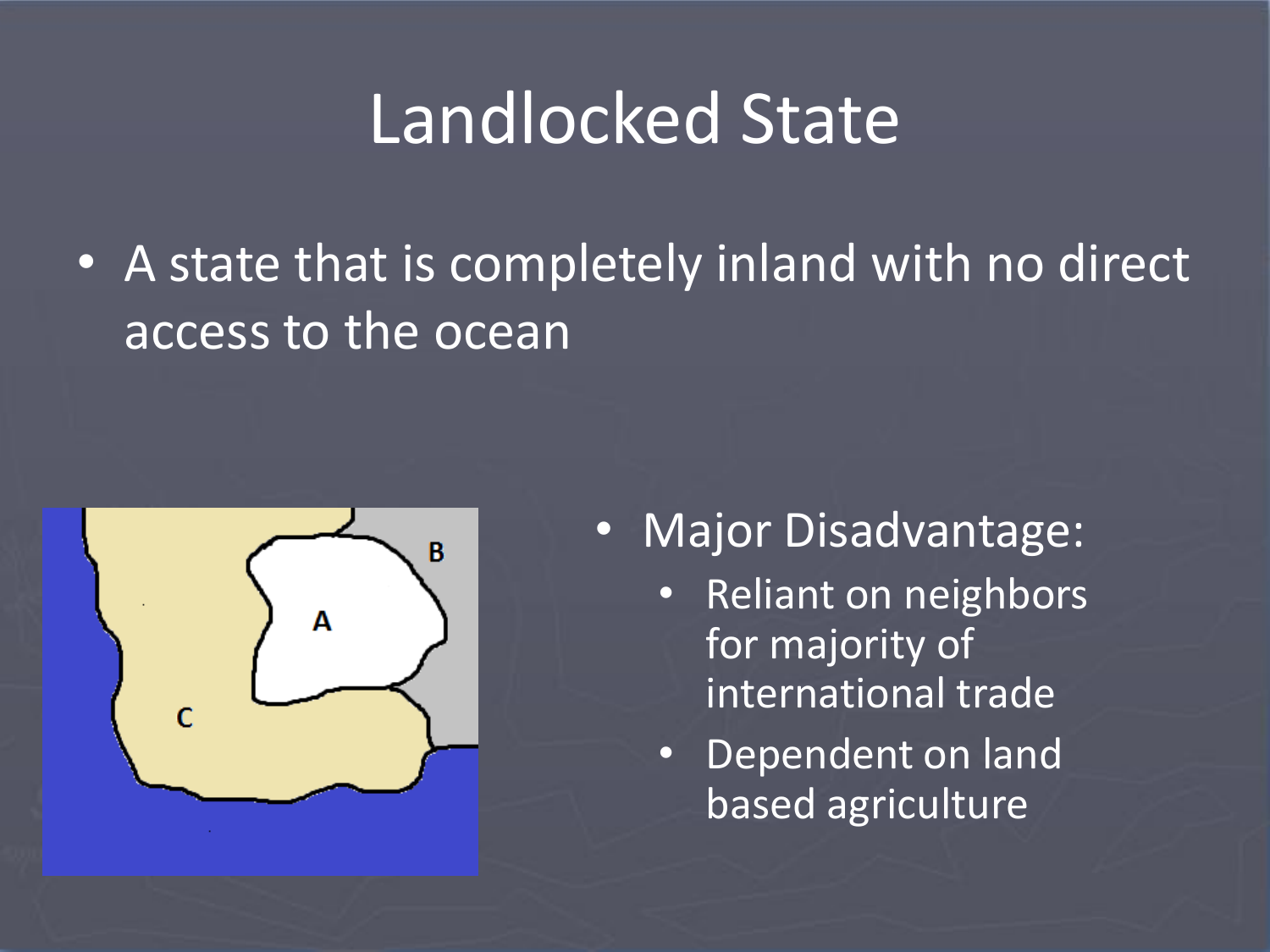# Landlocked State

• A state that is completely inland with no direct access to the ocean



- Major Disadvantage:
	- Reliant on neighbors for majority of international trade
	- Dependent on land based agriculture